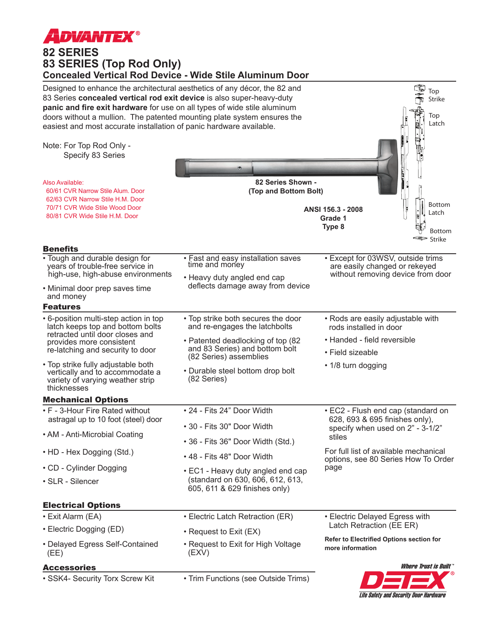

## **82 SERIES 83 SERIES (Top Rod Only) Concealed Vertical Rod Device - Wide Stile Aluminum Door**



**Life Safety and Security Door Hardware**